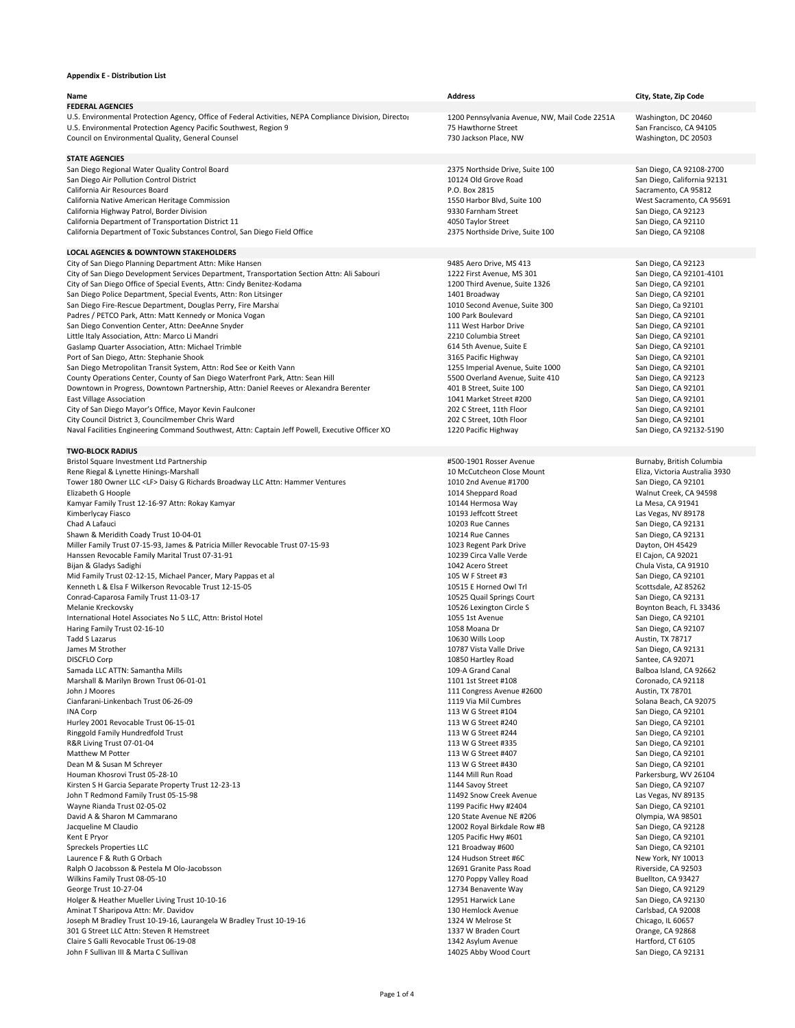## **Appendix E ‐ Distribution List**

| Name                                                                                                                                                 | <b>Address</b>                                                      | City, State, Zip Code                       |
|------------------------------------------------------------------------------------------------------------------------------------------------------|---------------------------------------------------------------------|---------------------------------------------|
| <b>FEDERAL AGENCIES</b>                                                                                                                              |                                                                     |                                             |
| U.S. Environmental Protection Agency, Office of Federal Activities, NEPA Compliance Division, Director                                               | 1200 Pennsylvania Avenue, NW, Mail Code 2251A                       | Washington, DC 20460                        |
| U.S. Environmental Protection Agency Pacific Southwest, Region 9                                                                                     | 75 Hawthorne Street                                                 | San Francisco, CA 94105                     |
| Council on Environmental Quality, General Counsel                                                                                                    | 730 Jackson Place, NW                                               | Washington, DC 20503                        |
| <b>STATE AGENCIES</b>                                                                                                                                |                                                                     |                                             |
| San Diego Regional Water Quality Control Board                                                                                                       | 2375 Northside Drive, Suite 100                                     | San Diego, CA 92108-2700                    |
| San Diego Air Pollution Control District                                                                                                             | 10124 Old Grove Road                                                | San Diego, California 92131                 |
| California Air Resources Board                                                                                                                       | P.O. Box 2815                                                       | Sacramento, CA 95812                        |
| California Native American Heritage Commission                                                                                                       | 1550 Harbor Blvd, Suite 100                                         | West Sacramento, CA 95691                   |
| California Highway Patrol, Border Division<br>California Department of Transportation District 11                                                    | 9330 Farnham Street<br>4050 Taylor Street                           | San Diego, CA 92123                         |
| California Department of Toxic Substances Control, San Diego Field Office                                                                            | 2375 Northside Drive, Suite 100                                     | San Diego, CA 92110<br>San Diego, CA 92108  |
|                                                                                                                                                      |                                                                     |                                             |
| <b>LOCAL AGENCIES &amp; DOWNTOWN STAKEHOLDERS</b>                                                                                                    |                                                                     |                                             |
| City of San Diego Planning Department Attn: Mike Hansen                                                                                              | 9485 Aero Drive, MS 413                                             | San Diego, CA 92123                         |
| City of San Diego Development Services Department, Transportation Section Attn: Ali Sabouri                                                          | 1222 First Avenue, MS 301                                           | San Diego, CA 92101-4101                    |
| City of San Diego Office of Special Events, Attn: Cindy Benitez-Kodama                                                                               | 1200 Third Avenue, Suite 1326                                       | San Diego, CA 92101                         |
| San Diego Police Department, Special Events, Attn: Ron Litsinger<br>San Diego Fire-Rescue Department, Douglas Perry, Fire Marshal                    | 1401 Broadway<br>1010 Second Avenue, Suite 300                      | San Diego, CA 92101<br>San Diego, Ca 92101  |
| Padres / PETCO Park, Attn: Matt Kennedy or Monica Vogan                                                                                              | 100 Park Boulevard                                                  | San Diego, CA 92101                         |
| San Diego Convention Center, Attn: DeeAnne Snyder                                                                                                    | 111 West Harbor Drive                                               | San Diego, CA 92101                         |
| Little Italy Association, Attn: Marco Li Mandri                                                                                                      | 2210 Columbia Street                                                | San Diego, CA 92101                         |
| Gaslamp Quarter Association, Attn: Michael Trimble                                                                                                   | 614 5th Avenue, Suite E                                             | San Diego, CA 92101                         |
| Port of San Diego, Attn: Stephanie Shook                                                                                                             | 3165 Pacific Highway                                                | San Diego, CA 92101                         |
| San Diego Metropolitan Transit System, Attn: Rod See or Keith Vann<br>County Operations Center, County of San Diego Waterfront Park, Attn: Sean Hill | 1255 Imperial Avenue, Suite 1000<br>5500 Overland Avenue, Suite 410 | San Diego, CA 92101<br>San Diego, CA 92123  |
| Downtown in Progress, Downtown Partnership, Attn: Daniel Reeves or Alexandra Berenter                                                                | 401 B Street, Suite 100                                             | San Diego, CA 92101                         |
| <b>East Village Association</b>                                                                                                                      | 1041 Market Street #200                                             | San Diego, CA 92101                         |
| City of San Diego Mayor's Office, Mayor Kevin Faulconer                                                                                              | 202 C Street, 11th Floor                                            | San Diego, CA 92101                         |
| City Council District 3, Councilmember Chris Ward                                                                                                    | 202 C Street, 10th Floor                                            | San Diego, CA 92101                         |
| Naval Facilities Engineering Command Southwest, Attn: Captain Jeff Powell, Executive Officer XC                                                      | 1220 Pacific Highway                                                | San Diego, CA 92132-5190                    |
| <b>TWO-BLOCK RADIUS</b>                                                                                                                              |                                                                     |                                             |
| Bristol Square Investment Ltd Partnership                                                                                                            | #500-1901 Rosser Avenue                                             | Burnaby, British Columbia                   |
| Rene Riegal & Lynette Hinings-Marshall                                                                                                               | 10 McCutcheon Close Mount                                           | Eliza, Victoria Australia 3930              |
| Tower 180 Owner LLC <lf> Daisy G Richards Broadway LLC Attn: Hammer Ventures</lf>                                                                    | 1010 2nd Avenue #1700                                               | San Diego, CA 92101                         |
| Elizabeth G Hoople                                                                                                                                   | 1014 Sheppard Road                                                  | Walnut Creek, CA 94598                      |
| Kamyar Family Trust 12-16-97 Attn: Rokay Kamyar                                                                                                      | 10144 Hermosa Way                                                   | La Mesa, CA 91941                           |
| Kimberlycay Fiasco<br>Chad A Lafauci                                                                                                                 | 10193 Jeffcott Street<br>10203 Rue Cannes                           | Las Vegas, NV 89178<br>San Diego, CA 92131  |
| Shawn & Meridith Coady Trust 10-04-01                                                                                                                | 10214 Rue Cannes                                                    | San Diego, CA 92131                         |
| Miller Family Trust 07-15-93, James & Patricia Miller Revocable Trust 07-15-93                                                                       | 1023 Regent Park Drive                                              | Dayton, OH 45429                            |
| Hanssen Revocable Family Marital Trust 07-31-91                                                                                                      | 10239 Circa Valle Verde                                             | El Cajon, CA 92021                          |
| Bijan & Gladys Sadighi                                                                                                                               | 1042 Acero Street                                                   | Chula Vista, CA 91910                       |
| Mid Family Trust 02-12-15, Michael Pancer, Mary Pappas et al                                                                                         | 105 W F Street #3                                                   | San Diego, CA 92101                         |
| Kenneth L & Elsa F Wilkerson Revocable Trust 12-15-05<br>Conrad-Caparosa Family Trust 11-03-17                                                       | 10515 E Horned Owl Trl<br>10525 Quail Springs Court                 | Scottsdale, AZ 85262<br>San Diego, CA 92131 |
| Melanie Kreckovsky                                                                                                                                   | 10526 Lexington Circle S                                            | Boynton Beach, FL 33436                     |
| International Hotel Associates No 5 LLC, Attn: Bristol Hotel                                                                                         | 1055 1st Avenue                                                     | San Diego, CA 92101                         |
| Haring Family Trust 02-16-10                                                                                                                         | 1058 Moana Dr                                                       | San Diego, CA 92107                         |
| <b>Tadd S Lazarus</b>                                                                                                                                | 10630 Wills Loop                                                    | Austin, TX 78717                            |
| James M Strother                                                                                                                                     | 10787 Vista Valle Drive                                             | San Diego, CA 92131                         |
| <b>DISCFLO Corp</b><br>Samada LLC ATTN: Samantha Mills                                                                                               | 10850 Hartley Road<br>109-A Grand Canal                             | Santee, CA 92071<br>Balboa Island, CA 92662 |
| Marshall & Marilyn Brown Trust 06-01-01                                                                                                              | 1101 1st Street #108                                                | Coronado, CA 92118                          |
| John J Moores                                                                                                                                        | 111 Congress Avenue #2600                                           | Austin, TX 78701                            |
| Cianfarani-Linkenbach Trust 06-26-09                                                                                                                 | 1119 Via Mil Cumbres                                                | Solana Beach, CA 92075                      |
| <b>INA Corp</b>                                                                                                                                      | 113 W G Street #104                                                 | San Diego, CA 92101                         |
| Hurley 2001 Revocable Trust 06-15-01<br>Ringgold Family Hundredfold Trust                                                                            | 113 W G Street #240<br>113 W G Street #244                          | San Diego, CA 92101<br>San Diego, CA 92101  |
| R&R Living Trust 07-01-04                                                                                                                            | 113 W G Street #335                                                 | San Diego, CA 92101                         |
| Matthew M Potter                                                                                                                                     | 113 W G Street #407                                                 | San Diego, CA 92101                         |
| Dean M & Susan M Schreyer                                                                                                                            | 113 W G Street #430                                                 | San Diego, CA 92101                         |
| Houman Khosrovi Trust 05-28-10                                                                                                                       | 1144 Mill Run Road                                                  | Parkersburg, WV 26104                       |
| Kirsten S H Garcia Separate Property Trust 12-23-13                                                                                                  | 1144 Savoy Street                                                   | San Diego, CA 92107                         |
| John T Redmond Family Trust 05-15-98<br>Wayne Rianda Trust 02-05-02                                                                                  | 11492 Snow Creek Avenue<br>1199 Pacific Hwy #2404                   | Las Vegas, NV 89135<br>San Diego, CA 92101  |
| David A & Sharon M Cammarano                                                                                                                         | 120 State Avenue NE #206                                            | Olympia, WA 98501                           |
| Jacqueline M Claudio                                                                                                                                 | 12002 Royal Birkdale Row #B                                         | San Diego, CA 92128                         |
| Kent E Pryor                                                                                                                                         | 1205 Pacific Hwy #601                                               | San Diego, CA 92101                         |
| Spreckels Properties LLC                                                                                                                             | 121 Broadway #600                                                   | San Diego, CA 92101                         |
| Laurence F & Ruth G Orbach                                                                                                                           | 124 Hudson Street #6C                                               | New York, NY 10013                          |
| Ralph O Jacobsson & Pestela M Olo-Jacobsson                                                                                                          | 12691 Granite Pass Road                                             | Riverside, CA 92503                         |
| Wilkins Family Trust 08-05-10<br>George Trust 10-27-04                                                                                               | 1270 Poppy Valley Road<br>12734 Benavente Way                       | Buellton, CA 93427<br>San Diego, CA 92129   |
| Holger & Heather Mueller Living Trust 10-10-16                                                                                                       | 12951 Harwick Lane                                                  | San Diego, CA 92130                         |
| Aminat T Sharipova Attn: Mr. Davidov                                                                                                                 | 130 Hemlock Avenue                                                  | Carlsbad, CA 92008                          |
| Joseph M Bradley Trust 10-19-16, Laurangela W Bradley Trust 10-19-16                                                                                 | 1324 W Melrose St                                                   | Chicago, IL 60657                           |
| 301 G Street LLC Attn: Steven R Hemstreet                                                                                                            | 1337 W Braden Court                                                 | Orange, CA 92868                            |
| Claire S Galli Revocable Trust 06-19-08                                                                                                              | 1342 Asylum Avenue                                                  | Hartford, CT 6105                           |
| John F Sullivan III & Marta C Sullivan                                                                                                               | 14025 Abby Wood Court                                               | San Diego, CA 92131                         |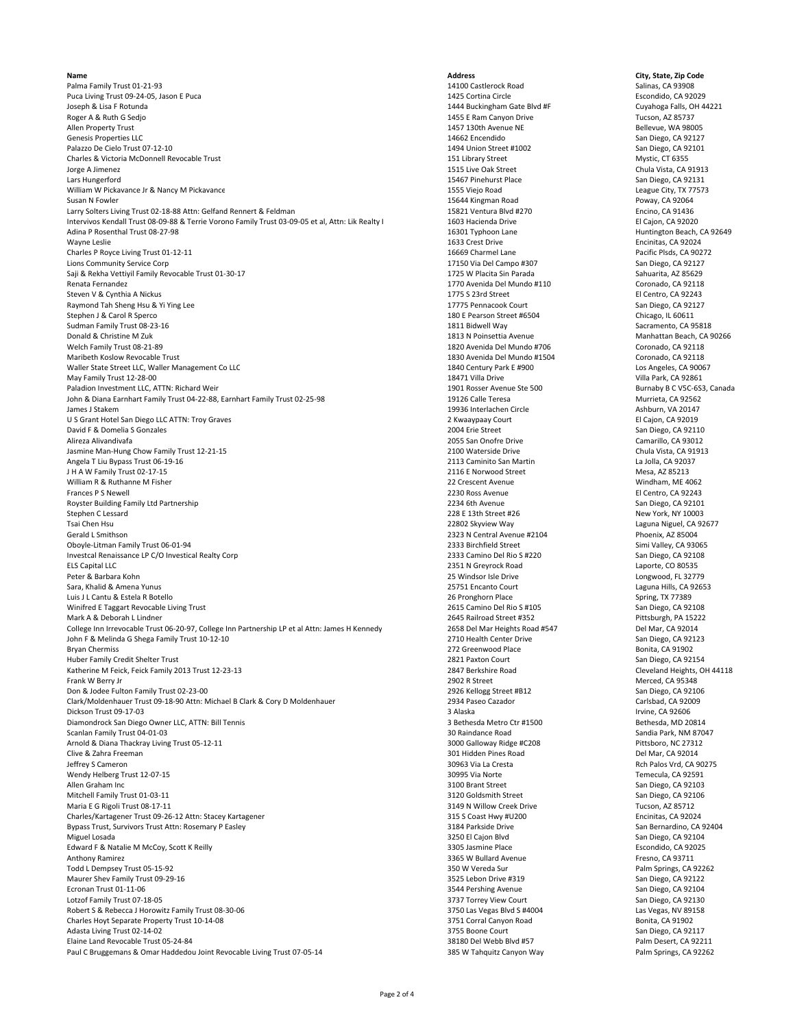**Name Address City, State, Zip Code** Palma Family Trust 01‐21‐93 14100 Castlerock Road Salinas, CA 93908 Puca Living Trust 09‐24‐05, Jason E Puca 1425 Cortina Circle 1425 Cortina Circle 1425 Cortina Circle 1425 Cortina Circle 1425 Cortina Circle 1425 Cortina Circle 1425 Cortina Circle 1425 Cortina Circle 1425 20029 Cuyahoga Joseph & Lisa F Rotunda **1444 Buckingham Gate Blvd #F** Cuyahoga Falls, Ol<br>1444 Buckingham Gate Blvd #F Cuyahoga Falls, Ol<br>1455 E Ram Canyon Drive 1452 F Ram Canyon Drive Tucson, AZ 85737 Roger A & Ruth G Sedjo Nuclear And States and States and States and States and States and States and States and Tucson, AZ 85737<br>Allen Property Trust and States and States and States and States and States and States and St Allen Property Trust Trust 1457 130th Avenue NE 1457 130th Avenue NE 1457 130th Avenue NE 1457 130th Avenue NE<br>14662 Encendido San Diego, CA 92127 Genesis Properties LLC 14662 Encendido San Diego, CA 92127 Palazzo De Cielo Trust 07‐12‐10<br>Palazzo De Cielo Trust Of Diego, CA 92101<br>2191 Library Street 11002 San Diego, CA 92101 151 Library Street 11002 San Diego, CA 92101 Charles & Victoria McDonnell Revocable Trust and the state of the state of the state of the state of the state Mystic, CT 6355<br>1515 Live Oak Street Mystic, CT 6355 Chula Vista, CA 91913 Jorge A Jimenez 1515 Live Oak Street Chula Vista, CA 91913 Lars Hungerford San Diego, CA 92131<br>
1991 - 1555 Vielo Road San Diego, CA 92131 - 1555 Vielo Road San Diego, CA 92131<br>
1991 - 1555 Vielo Road San Diego, CA 92131 - 1556 Vielo Road San Diego, CA 92131 - 1555 Vielo Road San William W Pickavance Jr & Nancy M Pickavance 1555 Viejo Road League City, TX 77573 Susan N Fowler 15644 Kingman Road 15644 Kingman Road 15644 Kingman Road 20064<br>15821 Ventura Blvd #270 15821 Poway, CA 91436 Poway, CA 91436 Poway, CA 91436 Poway, CA 91436 Poway, CA 91436 Larry Solters Living Trust 02-18-88 Attn: Gelfand Rennert & Feldman Intervivos Kendall Trust 08‐09‐88 & Terrie Vorono Family Trust 03‐09‐05 et al, Attn: Lik Realty I 1603 Hacienda Drive El Cajon, CA 92020 El Cajon, CA 92020<br>Adina P Rosenthal Trust 08‐27‐98 Huntington Beach. Adina P Rosenthal Trust 08‐27‐98 16301 Typhoon Lane 16301 Typhoon Lane 16301 Typhoon Lane Huntington Beach, CA 92649<br>1633 Crest Drive 1633 Crest Drive 1633 Crest Drive 1633 Crest Drive 1633 Crest Drive 1633 Crest Drive 160 Wayne Leslie 1633 Crest Drive Encinitas, CA 92024 Charles P Royce Living Trust 01‐12‐11 1669 Charmel Lane 16669 Charmel Lane 16669 Charmel Lane Pacific Plsds, CA 90272<br>17150 Via Del Campo #307 17150 Via Del Campo #307 1696 Campo #307 5an Diego, CA 92127 Lions Community Service Corp 17150 Via Del Campo #307 San Diego, CA 92127<br>1725 W Placita Sin Parada San Diego, CA 92127 San Diego, CA 92127 San Diego, CA 92127 San Diego, CA 92127 San Diego, CA 92127 Saji & Rekha Vettiyil Family Revocable Trust 01‐30‐17<br>Sahuarita, AZ 85629<br>1770 Avenida Del Mundo #110 1171 1101 1101 1101 1101 1770 Avenida Del Mundo #110 1770 Avenida Del Mundo #110 Steven V & Cynthia A Nickus 1992 Control Control Control Control Control Control Control Control Control Control Control Control Control Control Control Control Control Control Control Control Control Control Control Contr Raymond Tah Sheng Hsu & Yi Ying Lee 1922 Channels Court 17775 Pennacook Court 17775 Pennacook Court San Diego, CA 921<br>180 E Pearson Street #6504 17775 Pennacook Court San Diego, CA 921275 Pennacook Court San Diego, IL 6061 Sudman Family Trust 08-23-16<br>1811 Bidwell Way Sudman Family Donald & Christian Muslim Christian Muslim Christian Muslim Christian Muslim Ch<br>1813 N Poinsettia Avenue Donald & Christine M Zuk 1813 November 2021 Nanhattan Beach, CA 90266<br>1820 Avenida Del Mundo #706 Manhattan Beach, CA 92118<br>Welch Family Trust 08-21-89 November 2021 Maribeth Koslow Revocable Trust 1892118<br>Maribeth Koslow Revocable Trust 1892118<br>Waller State Street LLC, Waller Management Co LLC 1996 Coronado, CA 90067 Maller State Street LLC, Waller Management Co LLC<br>May Family Trust 12-28-00 Los Angeles, CA 9000 Los Angeles, CA 90067 Los Angeles, CA 90067 Los Angeles, CA 900<br>May Family Trust 12-28-00 Villa Park, CA 92861 May Family Trust 12‐28‐00<br>
May Faladion Investment LLC, ATTN: Richard Weir<br>
201 Rosser Avenue Ste 500 18471 Villa Park, CA 92861 2016 November 2012 Paladion Investment LLC, ATTN: Richard Weir 1902-05-2002 Paladion Investment LLC, ATTN: Richard Weir 1901 Rosser Avenue Ste 500 Burnaby B C V5C‐6S<br>19126 Calle Teresa 1903-03, Canada Burnaby B C V5C‐6S, Canada Burnaby B C V John & Diana Earnhart Family Trust 04‐22‐88, Earnhart Family Trust 02‐25‐98 19126 Calle Teresa Murrieta, CA 92562 James J Stakem 19936 Interlachen Circle 19936 Interlachen Circle 20147 (Ashburn, VA 20147<br>19936 Interlachen Circle Ashburn, VA 2019 (Ashburn, VA 2019) 2 (Waaypaay Court 2 Kwaaypaay Court El Cajon, CA U S Grant Hotel San Diego LLC ATTN: Troy Graves 2 Court 2 Court 2 Court Court Court Club Cajon, CA 92019<br>1999 - David F & Domelia S Gonzales 2004 Electrophy Court Campion Canadia 2004 Erie Street Court Campion Ca David F & Domelia S Gonzales Alireza Alivandivafa 2055 San Onofre Drive Camarillo, CA 93012 Jasmine Man‐Hung Chow Family Trust 12‐21‐15 21 2100 Waterside Drive 2100 Waterside Drive 2100 Waterside Drive Chula Vista, CA 91913<br>2113 Caminito San Martin Chula Vista, CA 92037 2113 Caminito San Martin Chula Vista, CA 92 Angela T Liu Bypass Trust 06-19-16<br>Angela T Liu Bypass Trust 02-17-15 21/16 2116 E Norwood Street Democratic Music Democratic Mesa, AZ 85213 J H A W Family Trust 02-17-15 Milliam R & Ruthanne M Fisher New York Channels Controller and the Controller Channels Crescent Avenue Windham, MC 4062<br>1999 - Prances P S Newell New York Channels Channels Channels Channels Channels Controller Avenue CA 9 Royster Building Family Ltd Partnership **Example 2018** 2234 6th Avenue 2234 6th Avenue 2234 6th Avenue San Diego, CA 92101<br>228 E 13th Street #26 228 E 13th Street #26 228 E 13th Street #26 228 E 13th Street #26 228 E 13th Stephen C Lessard 228 E 13th Street #26 New York, NY 10003 228 E 13th Street #26 New York, NY 10003 228 New York, NY 10003 228 New York, NY 10003 22802 Skyview Way Tsai Chen Hsu 22802 Skyview Way 22802 Skyview Way 22802 Skyview Way 22802 Skyview Way 23802 Skyview Way 2323 N<br>2323 N Central Avenue #2104 2323 N Central Avenue #2104 2323 N Central Avenue #2104 2323 N Central Avenue #210 Oboyle-Litman Family Trust 06-01-94 23065 2333 Birchfield Street 2333 Birchfield Street Simi Valley, CA 93065<br>1933 Camino Del Rio S #220 2333 Camino Del Rio S #220 2332 Camino Del Rio S #220 2333 Camino Del Rio S #220 23 Investcal Renaissance LP C/O Investical Realty Corp 2008 2008 2333 Camino Del Rio S #220 San Diego, CA 9210<br>2351 N Greyrock Road 2351 N Greyrock Road 2351 N Greyrock Road 2351 N Greyrock Road 2351 N Greyrock Road 2008 Lapo els Capital LLC 2003 (2351 N Greyrock Road 2351 N Greyrock Road 2351 N Greyrock Road 2351 N Greyrock Road 2351 N Greyrock Road 2351 N Greyrock Road 2357 N Greyrock Road 25 Windsor Isle Drive 2012 12:00 25 Windsor Isle Driv Peter & Barbara Kohn 25 Windsor Isle Drive Longwood, FL 32779 Sara, Khalid & Amena Yunus 25751 Encanto Court 25751 Encanto Court 25751 Encanto Court 25751 Encanto Court 267<br>26 Pronghorn Place 20 Spring, TX 77389 26 Pronghorn Place 26 Pronghorn Place 26 Pronghorn Place 26 Pronghorn Pl Luis J L Cantu & Estela R Botello (Spring, TX 77389)<br>2615 Camino Del Rio S #105 (Spring, TX 77389 / San Diego, CA 92108) (Spring, TX 77389 / San Diego, CA 92108 / Winifred E Taggart Revocable Living Trust 1997 1998 1999 12:30 Am 2012 2615 Camino Del Rio S #105 San Diego, CA 92108 1999, CA 92108 2615 Camino Del Rio S #105 San Diego, CA 92108 1999, CA 92108 2645 Railroad Street #352 2 Mark A & Deborah L Lindner Pittsburgh, PA 1522<br>1629. College Inn Irrevocable Trust 06-20-97, College Inn Partnership LP et al Attn: James H Kennedy Passed Martheights Road #547 Pittsburgh, PA 1522 Pittsburgh, PA 1522 College Inn Irrevocable Trust 06‐20‐97, College Inn Partnership LP et al Attn: James H Kennedy 2658 Del Mar Heights Road #547 Del Mar, CA 92014<br>2710 Health Center Drive 2710 Health Center Drive 2710 Health Center Drive 271 John F & Melinda G Shega Family Trust 10‐12‐10 2710 Health Center Drive 2710 Health Center Drive San Diego, CA 921<br>Bryan Chermiss Bonita. CA 91902 Bryan Chermiss **272 Greenwood Place** Bonita, CA 91902 Huber Family Credit Shelter Trust 1999, CA 92154<br>Huber Family Credit Shelter Trust 2821 Paxton Court 2821 Paxton Court 2821 Paxton Court 2847 Berkshire Road Cleveland Heights. OH 44118 Katherine M Feick, Feick Family 2013 Trust 12-23-13 Frank W Berry Jr 2902 R Street Merced, CA 95348 Don & Jodee Fulton Family Trust 02‐23‐00 2926 Kellogg Street #B12 San Diego, CA 92106 Clark/Moldenhauer Trust 09‐18‐90 Attn: Michael B Clark & Cory D Moldenhauer 2934 Paseo Cazador Carlsbad, CA 92009 Dickson Trust 09‐17‐03 3 Alaska Irvine, CA 92606 Diamondrock San Diego Owner LLC, ATTN: Bill Tennis and Exercise of the San Diamondrock San Diego Owner LLC, ATTN: Bill Tennis and San Diamondrock San Diego Owner LLC, ATTN: Bill Tennis and San Diamondrock San Diego Owner S Scanlan Family Trust 04‐01‐03 Sandia Park, NM 870<br>Scanlan Family Trust 05‐12‐11 Armord Sandia Park, NM 87047<br>Sandia Road Sandia Park, NM 87047-2022 3000 Salloway Ridge #C208 Sandia Pittsboro, NC 27312 Arnold & Diana Thackray Living Trust 05‐12‐11 2731: The Same Communication of the Same Capital Civing Arnold & Diana Thackray Living Trust 05‐12731: Arnold & Diana Thackray Living Trust 05‐1211 2001 2001 2001 2001 2001 200 Clive & Zahra Freeman 301 Hidden Pines Road (2012)<br>1996 - Jeffrey S Cameron 2012 - Del Mar, Cameron 2012 - Del Mar, Cameron 2004 - 2004 - 2004 - 30963 Via La Cresta Wendy Helberg Trust 12‐07‐15 **30995 Via Norte 20095 Via Norte** 30995 Via Norte 30995 Via Norte Temecula, CA 92591<br>Allen Graham Inc 3an Diego. CA 92103 Mitchell Family Trust 01‐03‐11 3120 Goldsmith Street San Diego, CA 921 3120 Goldsmith Street San Diego, CA 921<br>Maria E G Rigoli Trust 08‐17‐11 3149 N Willow Creek Drive Street Street Street Street Street Street Street St Maria E G Rigoli Trust 08-17-11 Tucson, AZ 85712<br>Charles/Kartagener Trust 09-26-12 Attn: Stacey Kartagener National Charles Coast Hwy #U200 States/Kartagener Trust 09-26-12 Attn: Stacey Kartagener National Charles CA 92024 Charles/Kartagener Trust 09‐26‐12 Attn: Stacey Kartagener 315 States 2012 - States/Kartagener Trust 09‐26‐12 Attn: Stacey Kartagener 315 S Coast Hwy #U200 San Bernardino, CA 92024<br>3184 Parkside Drive States and States and Bypass Trust, Survivors Trust Attn: Rosemary P Easley (San Bernardino, CA 92104 Parkside Drive San Bernardino, CA 92104 Parkside Drive San Bernardino, CA 92104 Parkside Drive San Diego, CA 92104 Parkside Drive San Diego, C Miguel Losada 3250 El Cajon Blvd San Diego, CA 92104 Edward F & Natalie M McCoy, Scott K Reilly **3001 Community Constructs Constructs** 3305 Jasmine Place **Excondido, CA 92025**<br>Anthony Ramirez **CA 93711** Fresno. CA 93711 Anthony Ramirez Trust Companies and Companies and Companies and Companies 3365 W Bullard Avenue Fresno, CA 93711<br>1990 - Todd L Dempsey Trust 05-15-92 Todd L Dempsey Trust 05‐15‐92 350 W Vereda Sur Palm Springs, CA 922<br>Maurer Shev Family Trust 09‐29‐16 3525 Lebon Drive #319 3525 Lebon Drive #319 3525 Lebon Drive #319 5an Diego, CA 92122 Maurer Shev Family Trust 09‐29‐16<br>
Feronan Trust 01‐11‐06<br>
Feronan Trust 01‐11‐06 Ecronan Trust 01‐11‐06 3544 Pershing Avenue San Diego, CA 92104 Lotzof Family Trust 07‐18‐05 3737 Torrey View Court San Diego, CA 92130 Robert S & Rebecca J Horowitz Family Trust 08-30-06 3750 2012 12:30 States of the Changes Blvd S #4004 Las Vegas, NV 89158<br>1751 Corral Canyon Road Camp Bonita, CA 91902 2014, Corral Canyon Road S751 Corral Canyon Road Soni Charles Hoyt Separate Property Trust 10-14-08 Adasta Living Trust 02-14-02 San Diego, CA 92117<br>Adasta Living Trust 02-14-02 38180 Del Webb Blvd #57 San Diego, CA 92117 38180 Del Webb Blvd #57 San Diego, CA 92117 Elaine Land Revocable Trust 05‐24‐84 38180 Del Webb Blvd #57 38180 Del Webb Blvd #57 Palm Desert, CA 92211 Palm Desert, CA 92211<br>Paul C Bruggemans & Omar Haddedou Joint Revocable Living Trust 07‐05‐14 Palm Springs, CA 9226 Paul C Bruggemans & Omar Haddedou Joint Revocable Living Trust 07-05-14

1770 Avenida Del Mundo #110 Coronado, CA 92118<br>1775 S 23rd Street Carel Mundo #110 El Centro, CA 92243 180 E Pearson Street #6504 Chicago, IL 60611<br>1811 Bidwell Way Sacramento, CA 95818 1820 Avenida Del Mundo #706<br>1830 Avenida Del Mundo #1504 **Coronado, CA 92118** Parama Salam El Centro, CA 92243<br>1994 - Camp San Diego, CA 92101<br>1995 - San Diego, CA 92101 2323 N Central Avenue #2104 Phoenix, AZ 85004<br>2333 Birchfield Street Phoenix, AZ 85004 an Brant Street States of the San Diego, CA 92103<br>Allen Goldsmith Street States San Diego, CA 92106

Rch Palos Vrd, CA 90275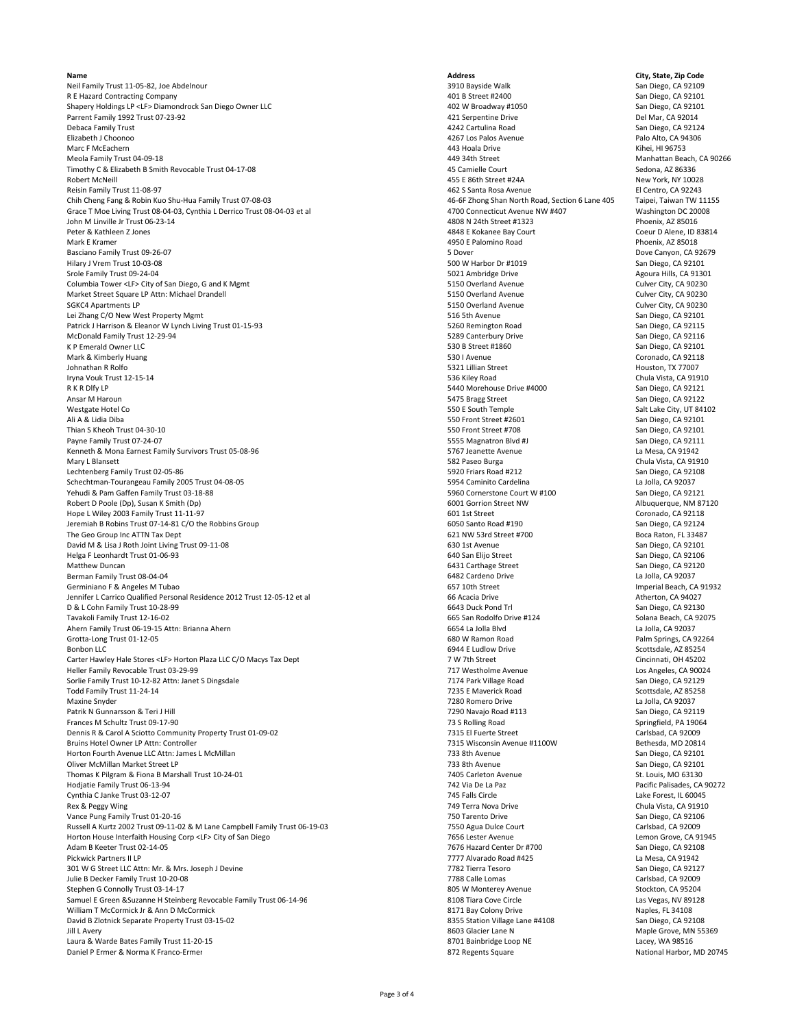Neil Family Trust 11‐05‐82, Joe Abdelnour هات المستخدم المستخدم المستخدم المستخدم المستخدم المستخدم المستخدم ال<br>2010 - 401 B Street #2400 هات المستخدم San Diego, CA 92101 R E Hazard Contracting Company San Diego, CA 92101<br>102 Shapery Holdings LP <LF> Diamondrock San Diego Owner LLC Shapery 402 W Broadway #1050 San Diego, CA 92101 Shapery Holdings LP <LF> Diamondrock San Diego Owner LLC<br>
Parrent Family 1992 Trust 07-23-92<br>
Parrent Family 1992 Trust 07-23-92 Parrent Family 1992 Trust 07‐23‐92<br>Parrent Family 1992 Trust 07‐23‐92<br>Debaca Family Trust San Diego, CA 92124 Debaca Family Trust 4242 Cartulina Road San Diego, CA 92124 Elizabeth J Choonoo **1986 and 2008 and 2008 and 2008 and 2008** and 2008 and 2008 and 2008 and 2008 and 2008 and 200<br>Alto Palo Alto, CA 94306 and 2009 and 2009 and 2009 and 2009 and 2009 and 2009 and 2009 and 2009 and 2009 Marc F McEachern 443 Hoala Drive Kihei, HI 96753 Meola Family Trust 04‐09‐18<br>1992-6 449 34th Street Manhattan Beach, CA 90266<br>1992-6 45 Camielle Court Manhattan Beach, Camp Sedona، AZ 86336 Timothy C & Elizabeth B Smith Revocable Trust 04-17-08 Robert McNeill 455 E 86th Street #24A New York, NY 10028 Reisin Family Trust 11‐08‐97 El Centro, CA 92243<br>Chih Cheng Fang & Robin Kuo Shu-Hua Family Trust 07‐08‐03 4 - 1155 46 - 46‐65 Zhong Shan North Road. Section 6 Lane 405 Taipei. Taiwan TW 11155 Chih Cheng Fang & Robin Kuo Shu‐Hua Family Trust 07‐08‐03<br>Grace T Moe Living Trust 08‐04‐03, Cynthia L Derrico Trust 08‐04‐03 et al *Stander Barrow Comecticut Avenue NW #407* Grace T Moe Living Trust 08-04-03, Cynthia L Derrico Trust 08-04-03 et al John M Linville Jr Trust 06-23-14<br>Peter & Kathleen Z Jones هادر المستحدث المستحدث المستحدث المستحدث و المستحدث و المستحدث المستحدث المستحدث المس<br>A848 E Kokanee Bay Court هادر المستحدث المستحدث المستحدث المستحدث المستحدث Peter & Kathleen Z Jones (Deur D Alene, ID 8) and the Coeur D Alene, ID 8448 E Kokanee Bay Court Coeur D Alene, ID 838148<br>Mark E Kramer Coeur D Alene, ID 838148 (November 2001) and the Coeur D 4950 E Palomino Road (Novembe Mark E Kramer 4950 E Palomino Road Phoenix, AZ 85018 Basciano Family Trust 09‐26‐07 **Subsection CA 92679** 5 Dover 5 Dover 5 Dover 5 Dover 2016) Dove Canyon, CA 92679<br>Hilary J Vrem Trust 10‐03‐08 San Diego, CA 92101 Hilary J Vrem Trust 10‐03‐08 500 W Harbor Dr #1019 San Diego, CA 92101 Sole Family Trust 09‐24‐04 Agoura Hills, CA 91301<br>Solumbia Tower <LF> City of San Diego, G and K Mgmt **Agoura Hills, CA 91230** 5150 Overland Avenue **Agoura Hills, CA 90230** Columbia Tower <LF> City of San Diego, G and K Mgmt 5150 Overland Avenue 5150 Overland Avenue Culver City, CA 90230<br>Market Street Square LP Attn: Michael Drandell And Market Culver City, CA 90230 Market Street Square LP Attn: Michael Drandell **1986 Contained Avenue** 5150 Overland Avenue Culver City, CA 90230<br>1992 - SGKC4 Apartments LP Culver City, CA 90230 SGKC4 Apartments LP 6 Culver City, CA 90230<br>
Lei Zhang C/O New West Property Mgmt<br>
Lei Zhang C/O New West Property Mgmt Lei Zhang C/O New West Property Mgmt<br>Patrick J Harrison & Eleanor W Lynch Living Trust 01-15-93 **San Diego, CA 92115** S260 Remington Road San Diego, CA 92115 Patrick J Harrison & Eleanor W Lynch Living Trust 01-15-93 **San** Patrick J Harrison & Eleanor W Lynch Living Trust 01-15-93 520 5260 Femington Road 5260 Remington Road San Diego, CA 92115<br>1990 - McDonald Family Trust 12-29-94 San Diego, CA 92116 McDonald Family Trust 12‐29‐94<br>K P Emerald Owner LLC San Diego, CA 92116<br>S30 B Street #1860 San Diego, CA 92101 K P Emerald Owner LLC<br>
Mark & Kimberly Huang Natural Street #1860 San Diego, CA 92101 San Diego, CA 92101 San Diego, CA 92118 (Street<br>
S30 I Avenue S50 I Avenue S50 I Avenue Street #1860 San Diego, CA 92118 Mark & Kimberly Huang (Coronado, CA 9211; 1992)<br>1992 - Johnathan R Rolfo (CA 9211; 1993)<br>1993 - Johnathan R Rolfo (CA 9201), The State of Coronado, CA 9211; 1993 Johnathan R Rolfo 5321 Lillian Street Houston, TX 77007 Iryna Vouk Trust 12‐15‐14 Chula Vista, CA 91910<br>
BY REAST Chula Vista, CA 91910<br>
SA RO Diego, CA 92121 R K R Dlfy LP 5440 Morehouse Drive #4000 San Diego, CA 92121 Ansar M Haroun 66 March 2021 22 San Diego, CA 92122<br>Mesteate Hotel Computer San Diego, CA 92122<br>Mesteate Hotel Computer San Diego, CA 92122 Westgate Hotel Co 550 E South Temple Salt Lake City, UT 84102 Ali A & Lidia Diba 550 Front Street #2601 San Diego, CA 92101 Thian S Kheoh Trust 04‐30‐10 550 Front Street #708 San Diego, CA 92101 Payne Family Trust 07‐24‐07 5555 Magnatron Blvd #J San Diego, CA 92111 Kenneth & Mona Earnest Family Survivors Trust 05‐08‐96 5767 Jeanette Avenue Same La Mesa, CA 91942 5767 Jeanette Avenue La Mesa, CA 91942 582 Paseo Burga China Vista. CA 91910 191910 191910 191910 191910 191910 191910 1919 Mary L Blansett 582 Paseo Burga Chula Vista, CA 91910 Lechtenberg Family Trust 02‐05‐86 5920 Friars Road #212 San Diego, CA 92108 Schechtman-Tourangeau Family 2005 Trust 04‐08‐05 5954 Caminito Cardelina Subsettman - Tourangeau Family 2005<br>Subsettman - The Sample of Desember 2012 1999 September 2013 1999 Comercione Court W #100 San Diego, CA 92121<br>Sub Yehudi & Pam Gaffen Family Trust 03-18-88<br>
Robert D Poole (Dp), Susan K Smith (Dp)<br>
Robert D Poole (Dp), Susan K Smith (Dp) Robert D Poole (Dp), Susan K Smith (Dp)<br>
Hope L Wiley 2003 Family Trust 11-11-97 **Formulation Street Advisor Community Community** Coronado, CA 92118<br>
Hope L Wiley 2003 Family Trust 11-11-97 Hope L Wiley 2003 Family Trust 11-11-97 (Coronado, CA 92118) From the Coronado, CA 92118<br>Heremiah B Robins Trust 07-14-81 C/O the Robbins Group Jeremiah B Robins Trust 07‐14‐81 C/O the Robbins Group<br>The Geo Group Inc ATTN Tax Dept 61 Santo Road #190 Santo Road #190 Santo Road #190 Santo Road #190 Soca Raton, FL 33487 The Geo Group Inc ATTN Tax Dept **1998 CONSUMER 200 CONSUMER 2018 CONSUMER 2018** CONSUMER 1999 Boca Raton, FL 33487<br>1999 Boca Jam Diego, CA 92101 Boca Raton, FL 33487<br>1999 G30 1st Avenue 630 1st Avenue 630 1st Avenue 630 1s David M & Lisa J Roth Joint Living Trust 09‐11‐08 **630 16 12** 630 15 Avenue San Diego, CA 92101 630 1st Avenue San Diego, CA 92101 640 San Diego, CA 92106 640 San Diego, CA 92106 640 San Diego, CA 92106 640 San Diego, CA 9 Helga F Leonhardt Trust 01‐06‐93 **640 San Elijo Street San Diego, CA 92106**<br>Matthew Duncan San Diego, CA 92120 Berman Family Trust 08-04-04<br>Germiniano F & Angeles M Tubao و Germiniano F & Angeles M Tubao و Germiniano F & Angeles M Tubao و Germiniano F & Angeles M Tubao Germiniano F & Angeles M Tubao 657 10th Street 667 10th Street 667 10th Street 667 10th Street 667 10th Street<br>1991 - Jennifer L Carrico Qualified Personal Residence 2012 Trust 12-05-12 et al 66 Nexume 66 Acacia Drive 66 A Jennifer L Carrico Qualified Personal Residence 2012 Trust 12‐05‐12 et al 66 Acacia Drive Atherton, CA 94027 D & L Cohn Family Trust 10−28−99 **6643 Duck Pond Trl San Diego, CA 92130** 6643 Duck Pond Trl San Diego, CA 92130<br>Tavakoli Family Trust 12−16−02 65 Jan Diego, CA 92075 665 San Rodolfo Drive #124 665 San Rodolfo Drive #124 Tavakoli Family Trust 12‐16‐02 660 San Rodolfo Drive #124 Solana Beach, CA 92037<br>Ahern Family Trust 06‐19‐15 Attn: Brianna Ahern Cass Company of Cass of Cass of Cass of Cass of Cass of Cass o Ahern Family Trust 06‐19‐15 Attn: Brianna Ahern **Camera Camera And Camera Camera Camera Camera Camera Camera Camera Camera Camera Camera Camera Camera Camera Camera Camera Camera Camera Camera Camera Camera Camera Camera C** Grotta-Long Trust 01-12-05 **From Trust 01-12-05** 680 W Ramon Road **Campion Road** Palm Springs, CA 9221 680 W Ramon Road Palm Springs, CA 92264 692264 6924 6924 6924 6944 E Ludlow Drive **Campion Road Scottsdale, AZ 85254** Bonbon LLC 6944 E Ludlow Drive Scottsdale, AZ 85254 AM Scottsdale, AZ 85254 Carter Hawley Hale Stores <LF> Horton Plaza LLC C/O Macys Tax Dept 7 W 7th Street 7 W 7th Street Cincinnati, OH 45202<br>
Heller Family Revocable Trust 03-29-99<br>
T17 Westholme Avenue Carter Carter Carter Carter Carter Carter Heller Family Revocable Trust 03‐29‐99 717 Westholme Avenue Los Angeles, CA 90024 Sorlie Family Trust 10‐12‐82 Attn: Janet S Dingsdale 2012 Controlled a material Controlled a material of the San Diego, CA 92129 Controlled a material Park Village Road Scottsdale. AZ 85258 Controlled a San Diego, CA 92129 Maxine Snyder 1992 La Jolla, CA 92037<br>1992 - Patrik N Gunnarsson & Teri J Hill<br>2090 Navaio Road #113 2090 Navaio Road #113 2090 Navaio Road #113 2090 Navaio Road #113 2090 Navaio Road #113 Frances M Schultz Trust 09-17-90 Springfield, PA 1906<br>1900 7315 El Fuerte Street Street Spring Springfield, Pays (Springfield, PA 1906)<br>1915 Fl Fuerte Street Street Street Street Street Schuld Carlsbad, CA 92009 Dennis R & Carol A Sciotto Community Property Trust 01‐09‐02 7315 El Fuerte Street Carol A Sciotto Community Property Trust 01‐09‐02 7315 El Fuerte Street Carlsbad, CA 92009<br>1991 7315 Wisconsin Avenue #1100W 7515 Wisconsin Bruins Hotel Owner LP Attn: Controller 7315 Wisconsin Avenue #1100W Bethesda, MD 20814 Horton Fourth Avenue LLC Attn: James L McMillan and McClear and McClear and McClear and The Company of the San Diego, CA 92101<br>233 8th Avenue San Diego, CA 92101 733 8th Avenue San Diego, CA 92101 733 8th Avenue San Diego, Oliver McMillan Market Street LP Thomas K Pilgram & Fiona B Marshall Trust 10‐24‐01 7405 Carleton Avenue 7405 Carleton Avenue 7405 Carleton Avenue<br>Thomas K Pilgram St. Louis, MO 63130<br>The St. Louis, MO 63130 722 Via De La Paz 742 Via De La Paz 742 Via De Hodjatie Family Trust 06-13-94<br>2004 742 Via De La Paz Pacific Palisades, CA 91<br>2004 745 Falls Circle 7145 Falls Circle 7145 Falls Circle 12 Lake Forest, IL 60045 Cynthia C Janke Trust 03‐12‐07 745 Falls Circle Lake Forest, IL 60045 Vance Pung Family Trust 01‐20‐16<br>1920, Nussell A Kurtz 2002 Trust 09‐11‐02 & M Lane Campbell Family Trust 06‐19‐03<br>7550 Agua Dulce Court San Diego, Carlsbad, CA 92009 Russell A Kurtz 2002 Trust 09‐11‐02 & M Lane Campbell Family Trust 06‐19‐03 7550 Agua Dulce Court Carlsbad, CA 92009<br>1991 - Horton House Interfaith Housing Corp <LF> City of San Diego 7650 7656 Lester Avenue Carlsbad, CA 9 Horton House Interfaith Housing Corp <LF> City of San Diego 7656 Lester Avenue 7656 Lester Avenue 2006 Parter Dr<br>Adam B Keeter Trust 02-14-05 Adam B Keeter Trust 02‐14‐05<br>Pickwick Partners II LP Nasar Center Dr #700 San Diego, CA 92108<br>Pickwick Partners II LP Nasar CA 91942 Pickwick Partners II LP 7777 Alvarado Road #425 La Mesa, CA 91942 301 W G Street LLC Attn: Mr. & Mrs. Joseph J Devine **1988** May be a street a street a street a street LLC Attn: Mr. & Mrs. Joseph J Devine 1998 May be a street and Diego, CA 92127 May be a street and Diego, CA 92009 May be Julie B Decker Family Trust 10‐20‐08<br>Stephen G Connolly Trust 03‐14‐17 7 788 Carlsbad, CA 92009 7788 Calle Lomas Carlsbad, CA 92009 7788 Calle Lomas Stephen G Connolly Trust 03-14-17<br>Samuel E Green & Suzanne H Steinberg Revocable Family Trust 06-14-96 Summer Stockton, CA 95204 8108 Tiara Cove Circle Stockton, CA 95204 Samuel E Green &Suzanne H Steinberg Revocable Family Trust 06-14-96 William T McCormick Jr & Ann D McCormick Annub McCormick Annub McCormick Bay Colony Drive Naples, FL 34108 Maples, FL 34108<br>1997 Bay David B Zlotnick Separate Property Trust 03-15-02 Maples, CA 92108 Maples, CA 92108 Maple David B Zlotnick Separate Property Trust 03-15-02<br>Iill L Averv Jill L Avery 8603 Glacier Lane N Maple Grove, MN 55369 Laura & Warde Bates Family Trust 11‐20‐15<br>
27 Daniel P Ermer & Norma K Franco-Ermer Company of Company of Company of Company and Company of Bainbridge Loop NE<br>
27 Regents Square Company of Campany and Marchan Mational Harb Daniel P Ermer & Norma K Franco-Ermer

**Name Address City, State, Zip Code** % 6431 Carthage Street San Diego, CA 921<br>6482 Cardeno Drive San Diego, CA 92037 Patrik N Gunnarsson & Teri Jaman 2011 - San Diego, CA 92119<br>1918 - Teri Jaman 2012 San Diego, CA 19064<br>1919 - Springfield, PA 19064 Pala Terra Nova Drive Chula Vista, CA 91910<br>1990 Tarento Drive Chula Vista, CA 92106

Scottsdale, AZ 85258